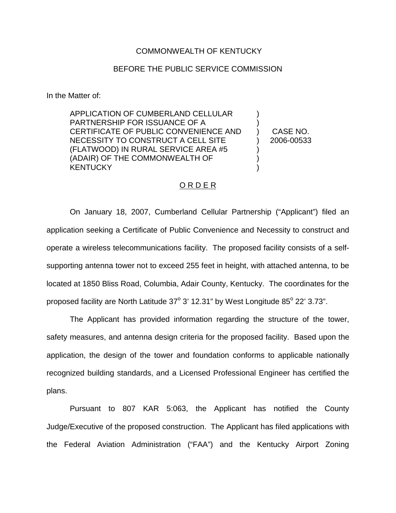## COMMONWEALTH OF KENTUCKY

## BEFORE THE PUBLIC SERVICE COMMISSION

In the Matter of:

APPLICATION OF CUMBERLAND CELLULAR PARTNERSHIP FOR ISSUANCE OF A CERTIFICATE OF PUBLIC CONVENIENCE AND NECESSITY TO CONSTRUCT A CELL SITE (FLATWOOD) IN RURAL SERVICE AREA #5 (ADAIR) OF THE COMMONWEALTH OF **KENTUCKY** 

) CASE NO. ) 2006-00533

) )

) ) )

## O R D E R

On January 18, 2007, Cumberland Cellular Partnership ("Applicant") filed an application seeking a Certificate of Public Convenience and Necessity to construct and operate a wireless telecommunications facility. The proposed facility consists of a selfsupporting antenna tower not to exceed 255 feet in height, with attached antenna, to be located at 1850 Bliss Road, Columbia, Adair County, Kentucky. The coordinates for the proposed facility are North Latitude  $37^{\circ}$  3' 12.31" by West Longitude  $85^{\circ}$  22' 3.73".

The Applicant has provided information regarding the structure of the tower, safety measures, and antenna design criteria for the proposed facility. Based upon the application, the design of the tower and foundation conforms to applicable nationally recognized building standards, and a Licensed Professional Engineer has certified the plans.

Pursuant to 807 KAR 5:063, the Applicant has notified the County Judge/Executive of the proposed construction. The Applicant has filed applications with the Federal Aviation Administration ("FAA") and the Kentucky Airport Zoning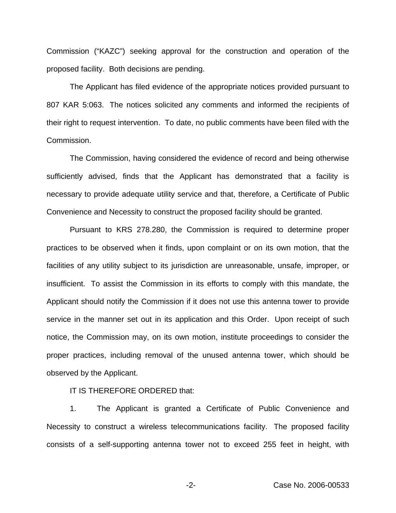Commission ("KAZC") seeking approval for the construction and operation of the proposed facility. Both decisions are pending.

The Applicant has filed evidence of the appropriate notices provided pursuant to 807 KAR 5:063. The notices solicited any comments and informed the recipients of their right to request intervention. To date, no public comments have been filed with the Commission.

The Commission, having considered the evidence of record and being otherwise sufficiently advised, finds that the Applicant has demonstrated that a facility is necessary to provide adequate utility service and that, therefore, a Certificate of Public Convenience and Necessity to construct the proposed facility should be granted.

Pursuant to KRS 278.280, the Commission is required to determine proper practices to be observed when it finds, upon complaint or on its own motion, that the facilities of any utility subject to its jurisdiction are unreasonable, unsafe, improper, or insufficient. To assist the Commission in its efforts to comply with this mandate, the Applicant should notify the Commission if it does not use this antenna tower to provide service in the manner set out in its application and this Order. Upon receipt of such notice, the Commission may, on its own motion, institute proceedings to consider the proper practices, including removal of the unused antenna tower, which should be observed by the Applicant.

IT IS THEREFORE ORDERED that:

1. The Applicant is granted a Certificate of Public Convenience and Necessity to construct a wireless telecommunications facility. The proposed facility consists of a self-supporting antenna tower not to exceed 255 feet in height, with